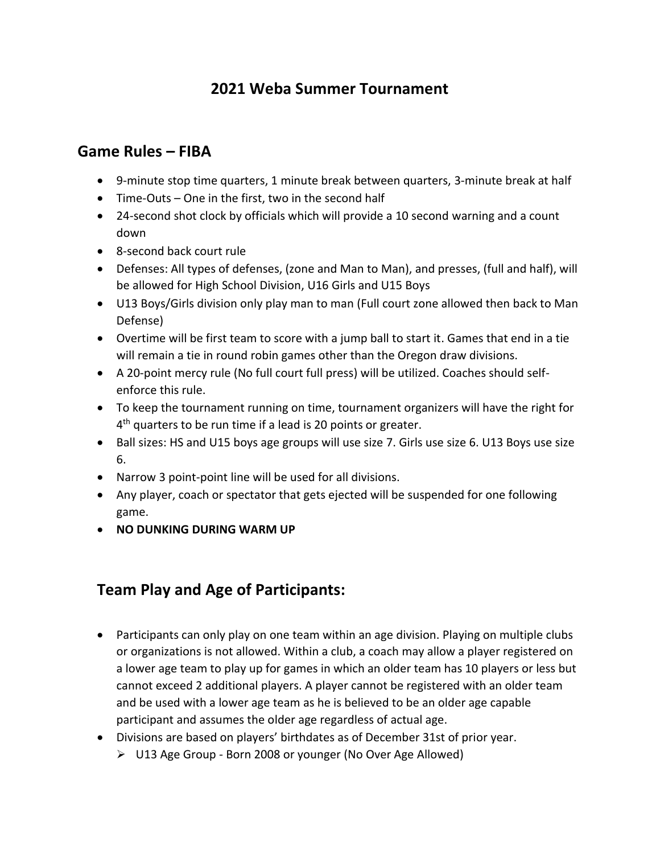# **2021 Weba Summer Tournament**

### **Game Rules – FIBA**

- 9-minute stop time quarters, 1 minute break between quarters, 3-minute break at half
- Time-Outs One in the first, two in the second half
- 24-second shot clock by officials which will provide a 10 second warning and a count down
- 8-second back court rule
- Defenses: All types of defenses, (zone and Man to Man), and presses, (full and half), will be allowed for High School Division, U16 Girls and U15 Boys
- U13 Boys/Girls division only play man to man (Full court zone allowed then back to Man Defense)
- Overtime will be first team to score with a jump ball to start it. Games that end in a tie will remain a tie in round robin games other than the Oregon draw divisions.
- A 20-point mercy rule (No full court full press) will be utilized. Coaches should selfenforce this rule.
- To keep the tournament running on time, tournament organizers will have the right for 4<sup>th</sup> quarters to be run time if a lead is 20 points or greater.
- Ball sizes: HS and U15 boys age groups will use size 7. Girls use size 6. U13 Boys use size 6.
- Narrow 3 point-point line will be used for all divisions.
- Any player, coach or spectator that gets ejected will be suspended for one following game.
- **NO DUNKING DURING WARM UP**

## **Team Play and Age of Participants:**

- Participants can only play on one team within an age division. Playing on multiple clubs or organizations is not allowed. Within a club, a coach may allow a player registered on a lower age team to play up for games in which an older team has 10 players or less but cannot exceed 2 additional players. A player cannot be registered with an older team and be used with a lower age team as he is believed to be an older age capable participant and assumes the older age regardless of actual age.
- Divisions are based on players' birthdates as of December 31st of prior year.
	- ➢ U13 Age Group Born 2008 or younger (No Over Age Allowed)